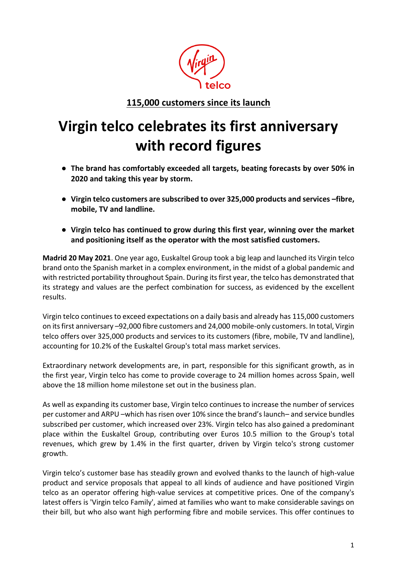

**115,000 customers since its launch**

## **Virgin telco celebrates its first anniversary with record figures**

- **The brand has comfortably exceeded all targets, beating forecasts by over 50% in 2020 and taking this year by storm.**
- **Virgin telco customers are subscribed to over 325,000 products and services –fibre, mobile, TV and landline.**
- **Virgin telco has continued to grow during this first year, winning over the market and positioning itself as the operator with the most satisfied customers.**

**Madrid 20 May 2021**. One year ago, Euskaltel Group took a big leap and launched its Virgin telco brand onto the Spanish market in a complex environment, in the midst of a global pandemic and with restricted portability throughout Spain. During its first year, the telco has demonstrated that its strategy and values are the perfect combination for success, as evidenced by the excellent results.

Virgin telco continues to exceed expectations on a daily basis and already has 115,000 customers on its first anniversary –92,000 fibre customers and 24,000 mobile-only customers. In total, Virgin telco offers over 325,000 products and services to its customers (fibre, mobile, TV and landline), accounting for 10.2% of the Euskaltel Group's total mass market services.

Extraordinary network developments are, in part, responsible for this significant growth, as in the first year, Virgin telco has come to provide coverage to 24 million homes across Spain, well above the 18 million home milestone set out in the business plan.

As well as expanding its customer base, Virgin telco continues to increase the number of services per customer and ARPU –which has risen over 10% since the brand's launch– and service bundles subscribed per customer, which increased over 23%. Virgin telco has also gained a predominant place within the Euskaltel Group, contributing over Euros 10.5 million to the Group's total revenues, which grew by 1.4% in the first quarter, driven by Virgin telco's strong customer growth.

Virgin telco's customer base has steadily grown and evolved thanks to the launch of high-value product and service proposals that appeal to all kinds of audience and have positioned Virgin telco as an operator offering high-value services at competitive prices. One of the company's latest offers is 'Virgin telco Family', aimed at families who want to make considerable savings on their bill, but who also want high performing fibre and mobile services. This offer continues to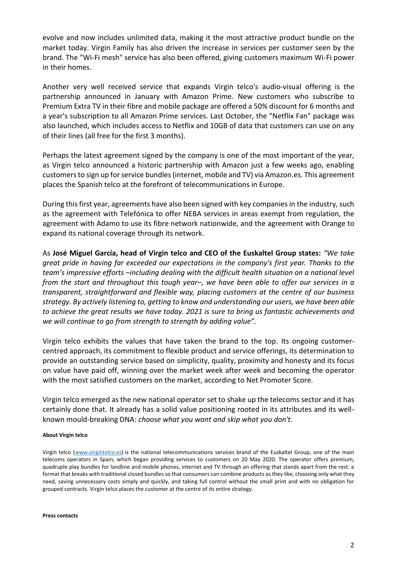evolve and now includes unlimited data, making it the most attractive product bundle on the market today. Virgin Family has also driven the increase in services per customer seen by the brand. The "Wi-Fi mesh" service has also been offered, giving customers maximum Wi-Fi power in their homes.

Another very well received service that expands Virgin telco's audio-visual offering is the partnership announced in January with Amazon Prime. New customers who subscribe to Premium Extra TV in their fibre and mobile package are offered a 50% discount for 6 months and a year's subscription to all Amazon Prime services. Last October, the "Netflix Fan" package was also launched, which includes access to Netflix and 10GB of data that customers can use on any of their lines (all free for the first 3 months).

Perhaps the latest agreement signed by the company is one of the most important of the year, as Virgin telco announced a historic partnership with Amazon just a few weeks ago, enabling customers to sign up for service bundles (internet, mobile and TV) via Amazon.es. This agreement places the Spanish telco at the forefront of telecommunications in Europe.

During this first year, agreements have also been signed with key companies in the industry, such as the agreement with Telefónica to offer NEBA services in areas exempt from regulation, the agreement with Adamo to use its fibre network nationwide, and the agreement with Orange to expand its national coverage through its network.

As **José Miguel García, head of Virgin telco and CEO of the Euskaltel Group states:** *"We take great pride in having far exceeded our expectations in the company's first year. Thanks to the team's impressive efforts –including dealing with the difficult health situation on a national level from the start and throughout this tough year–, we have been able to offer our services in a transparent, straightforward and flexible way, placing customers at the centre of our business strategy. By actively listening to, getting to know and understanding our users, we have been able to achieve the great results we have today. 2021 is sure to bring us fantastic achievements and we will continue to go from strength to strength by adding value".*

Virgin telco exhibits the values that have taken the brand to the top. Its ongoing customercentred approach, its commitment to flexible product and service offerings, its determination to provide an outstanding service based on simplicity, quality, proximity and honesty and its focus on value have paid off, winning over the market week after week and becoming the operator with the most satisfied customers on the market, according to Net Promoter Score.

Virgin telco emerged as the new national operator set to shake up the telecoms sector and it has certainly done that. It already has a solid value positioning rooted in its attributes and its wellknown mould-breaking DNA: *choose what you want and skip what you don't.*

## **About Virgin telco**

Virgin telco [\(www.virgintelco.es\)](http://www.virgintelco.es/) is the national telecommunications services brand of the Euskaltel Group, one of the main telecoms operators in Spain, which began providing services to customers on 20 May 2020. The operator offers premium, quadruple play bundles for landline and mobile phones, internet and TV through an offering that stands apart from the rest: a format that breaks with traditional closed bundles so that consumers can combine products as they like, choosing only what they need, saving unnecessary costs simply and quickly, and taking full control without the small print and with no obligation for grouped contracts. Virgin telco places the customer at the centre of its entire strategy.